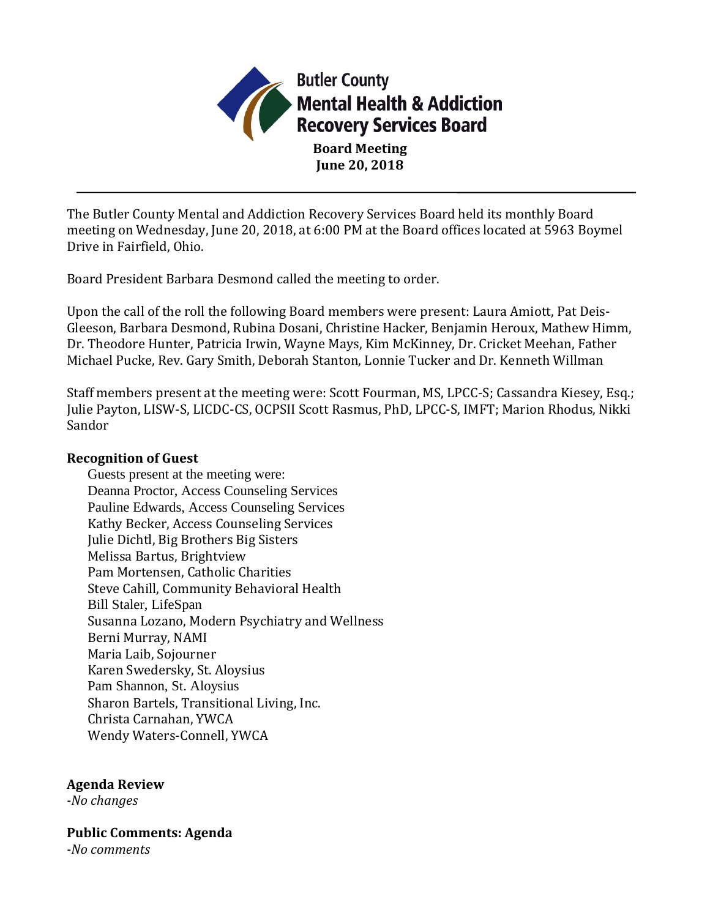

**Board Meeting June 20, 2018**

The Butler County Mental and Addiction Recovery Services Board held its monthly Board meeting on Wednesday, June 20, 2018, at 6:00 PM at the Board offices located at 5963 Boymel Drive in Fairfield, Ohio.

Board President Barbara Desmond called the meeting to order.

Upon the call of the roll the following Board members were present: Laura Amiott, Pat Deis-Gleeson, Barbara Desmond, Rubina Dosani, Christine Hacker, Benjamin Heroux, Mathew Himm, Dr. Theodore Hunter, Patricia Irwin, Wayne Mays, Kim McKinney, Dr. Cricket Meehan, Father Michael Pucke, Rev. Gary Smith, Deborah Stanton, Lonnie Tucker and Dr. Kenneth Willman

Staff members present at the meeting were: Scott Fourman, MS, LPCC-S; Cassandra Kiesey, Esq.; Julie Payton, LISW-S, LICDC-CS, OCPSII Scott Rasmus, PhD, LPCC-S, IMFT; Marion Rhodus, Nikki Sandor

### **Recognition of Guest**

Guests present at the meeting were: Deanna Proctor, Access Counseling Services Pauline Edwards, Access Counseling Services Kathy Becker, Access Counseling Services Julie Dichtl, Big Brothers Big Sisters Melissa Bartus, Brightview Pam Mortensen, Catholic Charities Steve Cahill, Community Behavioral Health Bill Staler, LifeSpan Susanna Lozano, Modern Psychiatry and Wellness Berni Murray, NAMI Maria Laib, Sojourner Karen Swedersky, St. Aloysius Pam Shannon, St. Aloysius Sharon Bartels, Transitional Living, Inc. Christa Carnahan, YWCA Wendy Waters-Connell, YWCA

# **Agenda Review**

*-No changes*

**Public Comments: Agenda** *-No comments*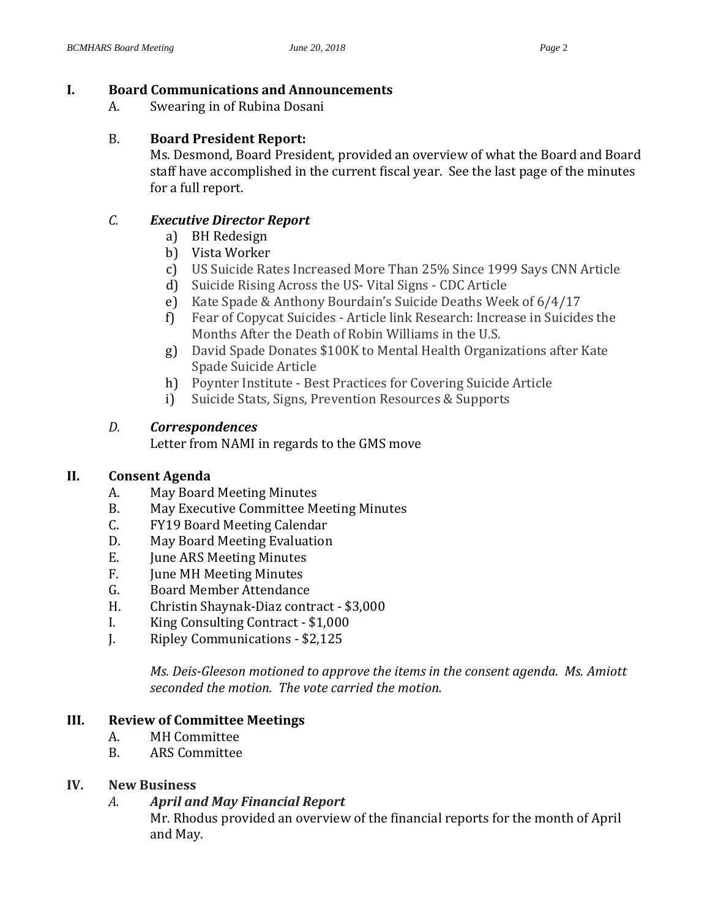# **I. Board Communications and Announcements**

A. Swearing in of Rubina Dosani

### B. **Board President Report:**

Ms. Desmond, Board President, provided an overview of what the Board and Board staff have accomplished in the current fiscal year. See the last page of the minutes for a full report.

# *C. Executive Director Report*

- a) BH Redesign
- b) Vista Worker
- c) US Suicide Rates Increased More Than 25% Since 1999 Says CNN Article
- d) Suicide Rising Across the US- Vital Signs CDC Article
- e) Kate Spade & Anthony Bourdain's Suicide Deaths Week of 6/4/17
- f) Fear of Copycat Suicides Article link Research: Increase in Suicides the Months After the Death of Robin Williams in the U.S.
- g) David Spade Donates \$100K to Mental Health Organizations after Kate Spade Suicide Article
- h) Poynter Institute Best Practices for Covering Suicide Article
- i) Suicide Stats, Signs, Prevention Resources & Supports

# *D. Correspondences*

Letter from NAMI in regards to the GMS move

# **II. Consent Agenda**

- A. May Board Meeting Minutes
- B. May Executive Committee Meeting Minutes
- C. FY19 Board Meeting Calendar
- D. May Board Meeting Evaluation
- E. June ARS Meeting Minutes
- F. June MH Meeting Minutes
- G. Board Member Attendance
- H. Christin Shaynak-Diaz contract \$3,000
- I. King Consulting Contract \$1,000
- J. Ripley Communications \$2,125

*Ms. Deis-Gleeson motioned to approve the items in the consent agenda. Ms. Amiott seconded the motion. The vote carried the motion.*

# **III. Review of Committee Meetings**

- A. MH Committee
- B. ARS Committee

# **IV. New Business**

# *A. April and May Financial Report*

Mr. Rhodus provided an overview of the financial reports for the month of April and May.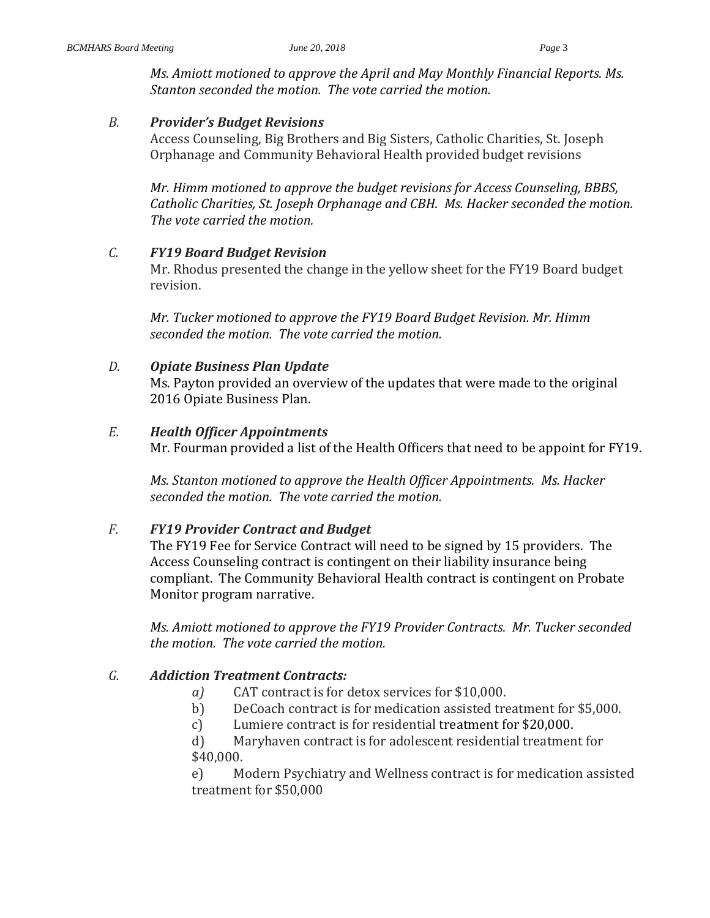*Ms. Amiott motioned to approve the April and May Monthly Financial Reports. Ms. Stanton seconded the motion. The vote carried the motion.* 

### *B. Provider's Budget Revisions*

Access Counseling, Big Brothers and Big Sisters, Catholic Charities, St. Joseph Orphanage and Community Behavioral Health provided budget revisions

*Mr. Himm motioned to approve the budget revisions for Access Counseling, BBBS, Catholic Charities, St. Joseph Orphanage and CBH. Ms. Hacker seconded the motion. The vote carried the motion.* 

### *C. FY19 Board Budget Revision*

Mr. Rhodus presented the change in the yellow sheet for the FY19 Board budget revision.

*Mr. Tucker motioned to approve the FY19 Board Budget Revision. Mr. Himm seconded the motion. The vote carried the motion.* 

# *D. Opiate Business Plan Update*

Ms. Payton provided an overview of the updates that were made to the original 2016 Opiate Business Plan.

### *E. Health Officer Appointments*

Mr. Fourman provided a list of the Health Officers that need to be appoint for FY19.

*Ms. Stanton motioned to approve the Health Officer Appointments. Ms. Hacker seconded the motion. The vote carried the motion.* 

# *F. FY19 Provider Contract and Budget*

The FY19 Fee for Service Contract will need to be signed by 15 providers. The Access Counseling contract is contingent on their liability insurance being compliant. The Community Behavioral Health contract is contingent on Probate Monitor program narrative.

*Ms. Amiott motioned to approve the FY19 Provider Contracts. Mr. Tucker seconded the motion. The vote carried the motion.* 

# *G. Addiction Treatment Contracts:*

- *a)* CAT contract is for detox services for \$10,000.
- b) DeCoach contract is for medication assisted treatment for \$5,000.
- c) Lumiere contract is for residential treatment for \$20,000.

d) Maryhaven contract is for adolescent residential treatment for \$40,000.

e) Modern Psychiatry and Wellness contract is for medication assisted treatment for \$50,000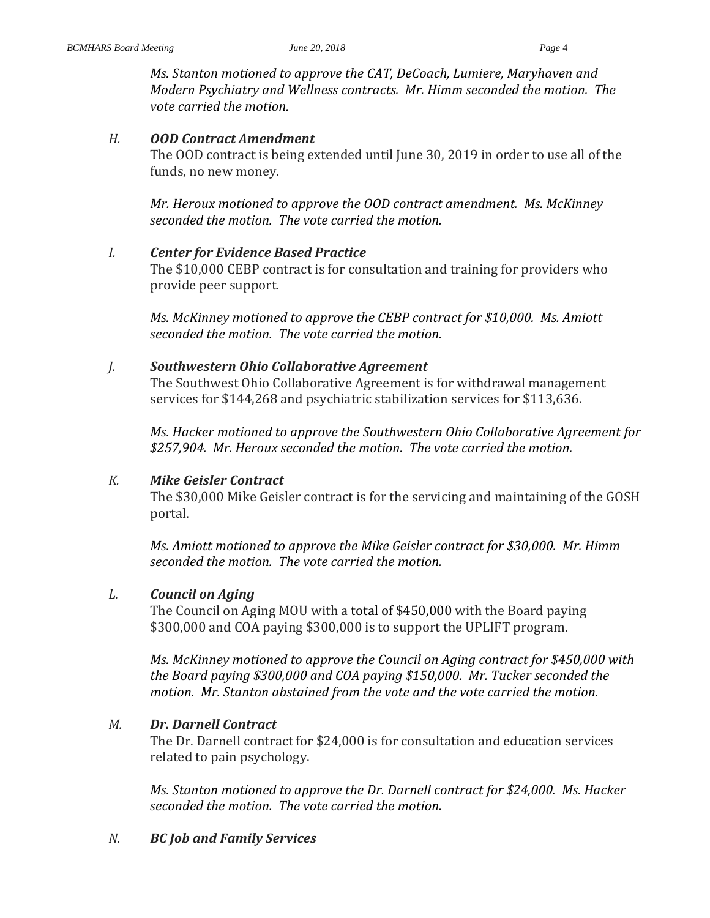*Ms. Stanton motioned to approve the CAT, DeCoach, Lumiere, Maryhaven and Modern Psychiatry and Wellness contracts. Mr. Himm seconded the motion. The vote carried the motion.* 

#### *H. OOD Contract Amendment*

The OOD contract is being extended until June 30, 2019 in order to use all of the funds, no new money.

*Mr. Heroux motioned to approve the OOD contract amendment. Ms. McKinney seconded the motion. The vote carried the motion.* 

#### *I. Center for Evidence Based Practice*

The \$10,000 CEBP contract is for consultation and training for providers who provide peer support.

*Ms. McKinney motioned to approve the CEBP contract for \$10,000. Ms. Amiott seconded the motion. The vote carried the motion.* 

### *J. Southwestern Ohio Collaborative Agreement*

The Southwest Ohio Collaborative Agreement is for withdrawal management services for \$144,268 and psychiatric stabilization services for \$113,636.

*Ms. Hacker motioned to approve the Southwestern Ohio Collaborative Agreement for \$257,904. Mr. Heroux seconded the motion. The vote carried the motion.* 

### *K. Mike Geisler Contract*

The \$30,000 Mike Geisler contract is for the servicing and maintaining of the GOSH portal.

*Ms. Amiott motioned to approve the Mike Geisler contract for \$30,000. Mr. Himm seconded the motion. The vote carried the motion.* 

### *L. Council on Aging*

The Council on Aging MOU with a total of \$450,000 with the Board paying \$300,000 and COA paying \$300,000 is to support the UPLIFT program.

*Ms. McKinney motioned to approve the Council on Aging contract for \$450,000 with the Board paying \$300,000 and COA paying \$150,000. Mr. Tucker seconded the motion. Mr. Stanton abstained from the vote and the vote carried the motion.* 

### *M. Dr. Darnell Contract*

The Dr. Darnell contract for \$24,000 is for consultation and education services related to pain psychology.

*Ms. Stanton motioned to approve the Dr. Darnell contract for \$24,000. Ms. Hacker seconded the motion. The vote carried the motion.* 

# *N. BC Job and Family Services*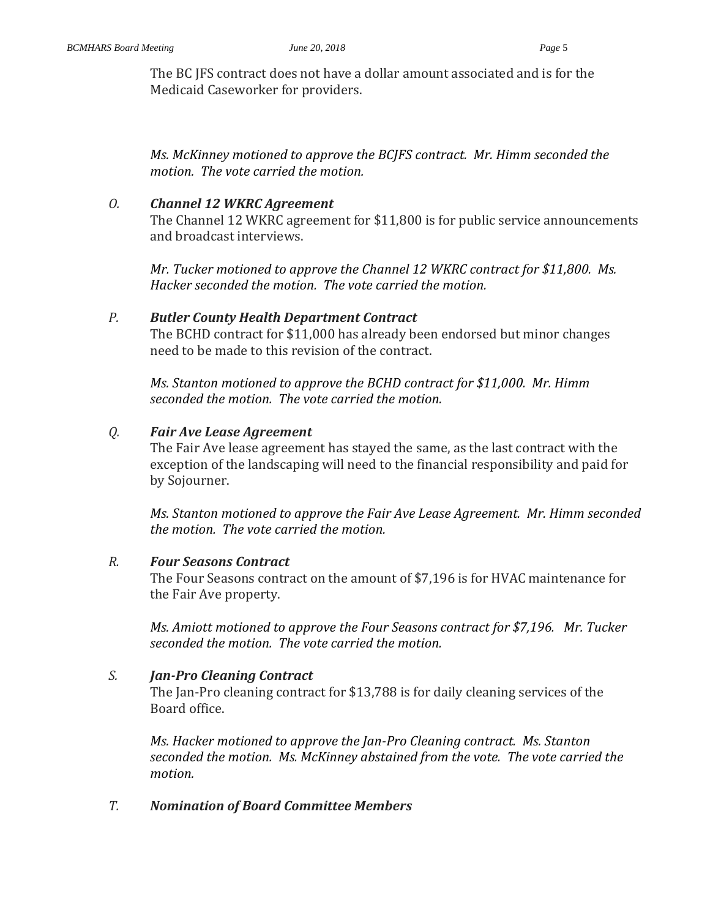The BC JFS contract does not have a dollar amount associated and is for the Medicaid Caseworker for providers.

*Ms. McKinney motioned to approve the BCJFS contract. Mr. Himm seconded the motion. The vote carried the motion.* 

### *O. Channel 12 WKRC Agreement*

The Channel 12 WKRC agreement for \$11,800 is for public service announcements and broadcast interviews.

*Mr. Tucker motioned to approve the Channel 12 WKRC contract for \$11,800. Ms. Hacker seconded the motion. The vote carried the motion.* 

### *P. Butler County Health Department Contract*

The BCHD contract for \$11,000 has already been endorsed but minor changes need to be made to this revision of the contract.

*Ms. Stanton motioned to approve the BCHD contract for \$11,000. Mr. Himm seconded the motion. The vote carried the motion.* 

### *Q. Fair Ave Lease Agreement*

The Fair Ave lease agreement has stayed the same, as the last contract with the exception of the landscaping will need to the financial responsibility and paid for by Sojourner.

*Ms. Stanton motioned to approve the Fair Ave Lease Agreement. Mr. Himm seconded the motion. The vote carried the motion.* 

### *R. Four Seasons Contract*

The Four Seasons contract on the amount of \$7,196 is for HVAC maintenance for the Fair Ave property.

*Ms. Amiott motioned to approve the Four Seasons contract for \$7,196. Mr. Tucker seconded the motion. The vote carried the motion.* 

# *S. Jan-Pro Cleaning Contract*

The Jan-Pro cleaning contract for \$13,788 is for daily cleaning services of the Board office.

*Ms. Hacker motioned to approve the Jan-Pro Cleaning contract. Ms. Stanton seconded the motion. Ms. McKinney abstained from the vote. The vote carried the motion.* 

# *T. Nomination of Board Committee Members*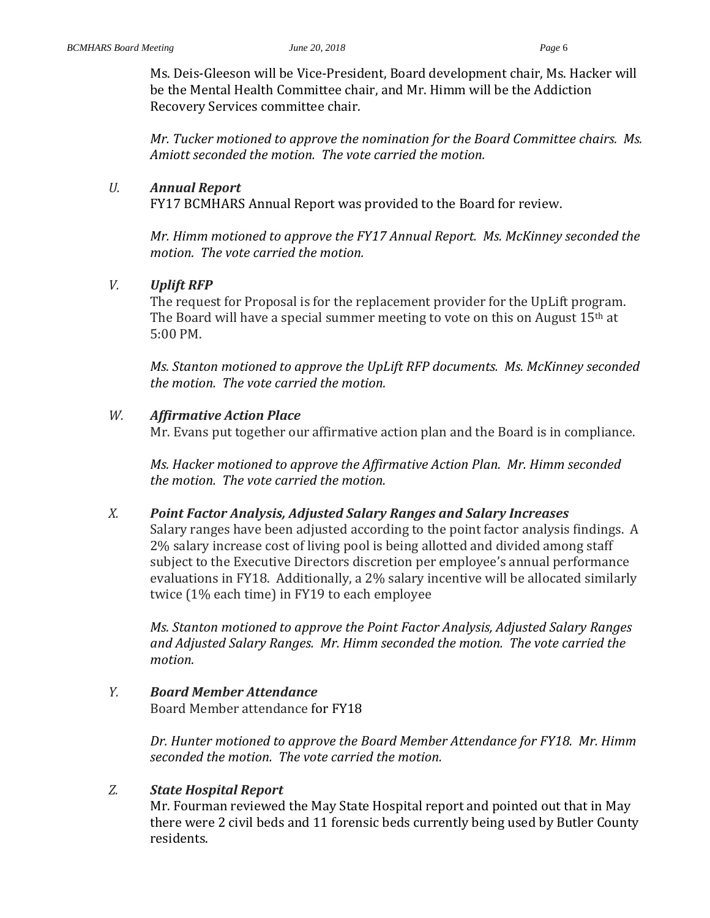Ms. Deis-Gleeson will be Vice-President, Board development chair, Ms. Hacker will be the Mental Health Committee chair, and Mr. Himm will be the Addiction Recovery Services committee chair.

*Mr. Tucker motioned to approve the nomination for the Board Committee chairs. Ms. Amiott seconded the motion. The vote carried the motion.* 

### *U. Annual Report*

FY17 BCMHARS Annual Report was provided to the Board for review.

*Mr. Himm motioned to approve the FY17 Annual Report. Ms. McKinney seconded the motion. The vote carried the motion.* 

### *V. Uplift RFP*

The request for Proposal is for the replacement provider for the UpLift program. The Board will have a special summer meeting to vote on this on August 15th at 5:00 PM.

*Ms. Stanton motioned to approve the UpLift RFP documents. Ms. McKinney seconded the motion. The vote carried the motion.* 

### *W. Affirmative Action Place*

Mr. Evans put together our affirmative action plan and the Board is in compliance.

*Ms. Hacker motioned to approve the Affirmative Action Plan. Mr. Himm seconded the motion. The vote carried the motion.* 

### *X. Point Factor Analysis, Adjusted Salary Ranges and Salary Increases*

Salary ranges have been adjusted according to the point factor analysis findings. A 2% salary increase cost of living pool is being allotted and divided among staff subject to the Executive Directors discretion per employee's annual performance evaluations in FY18. Additionally, a 2% salary incentive will be allocated similarly twice (1% each time) in FY19 to each employee

*Ms. Stanton motioned to approve the Point Factor Analysis, Adjusted Salary Ranges and Adjusted Salary Ranges. Mr. Himm seconded the motion. The vote carried the motion.* 

# *Y. Board Member Attendance*

Board Member attendance for FY18

*Dr. Hunter motioned to approve the Board Member Attendance for FY18. Mr. Himm seconded the motion. The vote carried the motion.* 

### *Z. State Hospital Report*

Mr. Fourman reviewed the May State Hospital report and pointed out that in May there were 2 civil beds and 11 forensic beds currently being used by Butler County residents.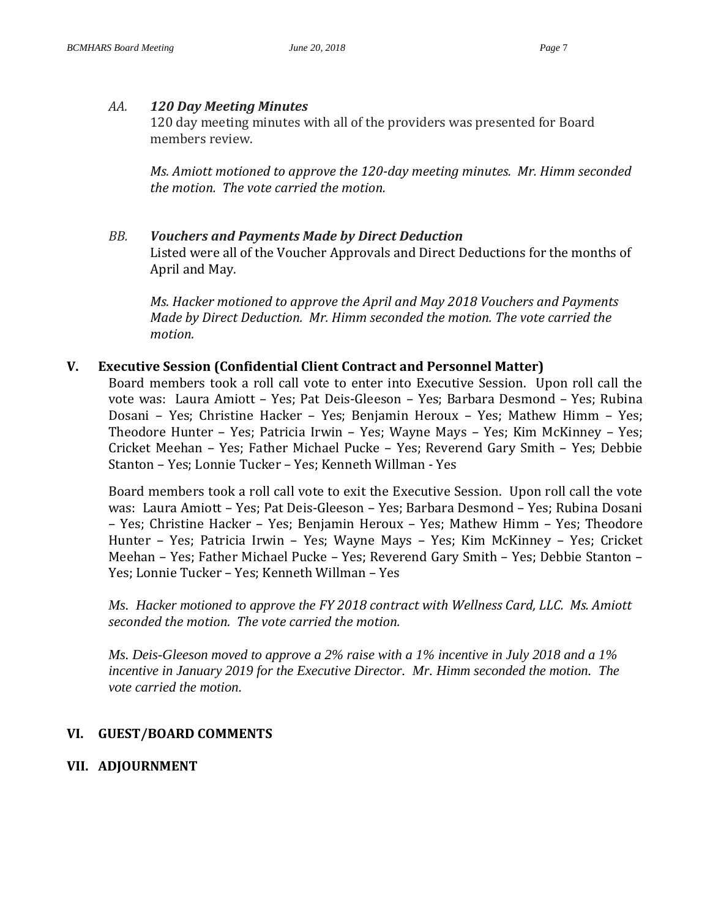#### *AA. 120 Day Meeting Minutes*

120 day meeting minutes with all of the providers was presented for Board members review.

*Ms. Amiott motioned to approve the 120-day meeting minutes. Mr. Himm seconded the motion. The vote carried the motion.* 

*BB. Vouchers and Payments Made by Direct Deduction* Listed were all of the Voucher Approvals and Direct Deductions for the months of April and May.

*Ms. Hacker motioned to approve the April and May 2018 Vouchers and Payments Made by Direct Deduction. Mr. Himm seconded the motion. The vote carried the motion.*

### **V. Executive Session (Confidential Client Contract and Personnel Matter)**

Board members took a roll call vote to enter into Executive Session. Upon roll call the vote was: Laura Amiott – Yes; Pat Deis-Gleeson – Yes; Barbara Desmond – Yes; Rubina Dosani – Yes; Christine Hacker – Yes; Benjamin Heroux – Yes; Mathew Himm – Yes; Theodore Hunter – Yes; Patricia Irwin – Yes; Wayne Mays – Yes; Kim McKinney – Yes; Cricket Meehan – Yes; Father Michael Pucke – Yes; Reverend Gary Smith – Yes; Debbie Stanton – Yes; Lonnie Tucker – Yes; Kenneth Willman - Yes

Board members took a roll call vote to exit the Executive Session. Upon roll call the vote was: Laura Amiott – Yes; Pat Deis-Gleeson – Yes; Barbara Desmond – Yes; Rubina Dosani – Yes; Christine Hacker – Yes; Benjamin Heroux – Yes; Mathew Himm – Yes; Theodore Hunter – Yes; Patricia Irwin – Yes; Wayne Mays – Yes; Kim McKinney – Yes; Cricket Meehan – Yes; Father Michael Pucke – Yes; Reverend Gary Smith – Yes; Debbie Stanton – Yes; Lonnie Tucker – Yes; Kenneth Willman – Yes

*Ms. Hacker motioned to approve the FY 2018 contract with Wellness Card, LLC. Ms. Amiott seconded the motion. The vote carried the motion.*

*Ms. Deis-Gleeson moved to approve a 2% raise with a 1% incentive in July 2018 and a 1% incentive in January 2019 for the Executive Director. Mr. Himm seconded the motion. The vote carried the motion.*

# **VI. GUEST/BOARD COMMENTS**

**VII. ADJOURNMENT**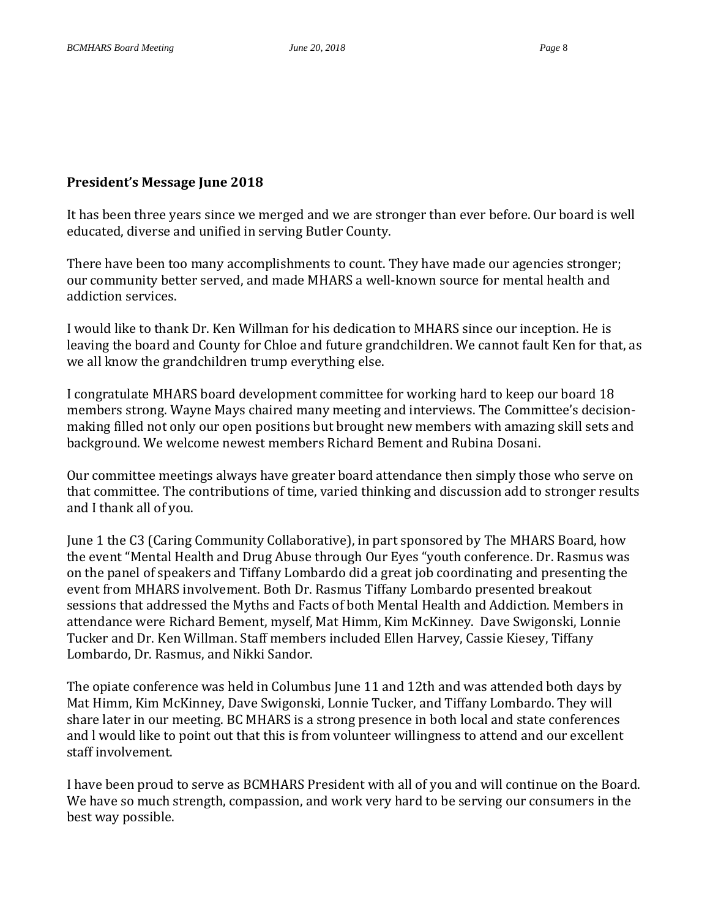### **President's Message June 2018**

It has been three years since we merged and we are stronger than ever before. Our board is well educated, diverse and unified in serving Butler County.

There have been too many accomplishments to count. They have made our agencies stronger; our community better served, and made MHARS a well-known source for mental health and addiction services.

I would like to thank Dr. Ken Willman for his dedication to MHARS since our inception. He is leaving the board and County for Chloe and future grandchildren. We cannot fault Ken for that, as we all know the grandchildren trump everything else.

I congratulate MHARS board development committee for working hard to keep our board 18 members strong. Wayne Mays chaired many meeting and interviews. The Committee's decisionmaking filled not only our open positions but brought new members with amazing skill sets and background. We welcome newest members Richard Bement and Rubina Dosani.

Our committee meetings always have greater board attendance then simply those who serve on that committee. The contributions of time, varied thinking and discussion add to stronger results and I thank all of you.

June 1 the C3 (Caring Community Collaborative), in part sponsored by The MHARS Board, how the event "Mental Health and Drug Abuse through Our Eyes "youth conference. Dr. Rasmus was on the panel of speakers and Tiffany Lombardo did a great job coordinating and presenting the event from MHARS involvement. Both Dr. Rasmus Tiffany Lombardo presented breakout sessions that addressed the Myths and Facts of both Mental Health and Addiction. Members in attendance were Richard Bement, myself, Mat Himm, Kim McKinney. Dave Swigonski, Lonnie Tucker and Dr. Ken Willman. Staff members included Ellen Harvey, Cassie Kiesey, Tiffany Lombardo, Dr. Rasmus, and Nikki Sandor.

The opiate conference was held in Columbus June 11 and 12th and was attended both days by Mat Himm, Kim McKinney, Dave Swigonski, Lonnie Tucker, and Tiffany Lombardo. They will share later in our meeting. BC MHARS is a strong presence in both local and state conferences and l would like to point out that this is from volunteer willingness to attend and our excellent staff involvement.

I have been proud to serve as BCMHARS President with all of you and will continue on the Board. We have so much strength, compassion, and work very hard to be serving our consumers in the best way possible.